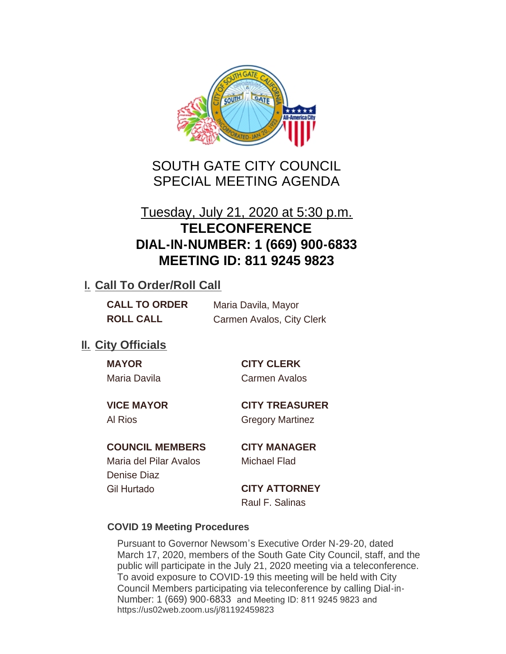

# SOUTH GATE CITY COUNCIL SPECIAL MEETING AGENDA

# Tuesday, July 21, 2020 at 5:30 p.m. **TELECONFERENCE DIAL-IN-NUMBER: 1 (669) 900-6833 MEETING ID: 811 9245 9823**

## **I. Call To Order/Roll Call**

| <b>CALL TO ORDER</b> | Maria Davila, Mayor       |
|----------------------|---------------------------|
| <b>ROLL CALL</b>     | Carmen Avalos, City Clerk |

# **II.** City Officials

| MА | c |  |
|----|---|--|
|    |   |  |

### **MAYOR CITY CLERK**

Maria Davila Carmen Avalos

**VICE MAYOR CITY TREASURER**

Al Rios **Gregory Martinez** 

### **COUNCIL MEMBERS CITY MANAGER**

Maria del Pilar Avalos Michael Flad Denise Diaz Gil Hurtado **CITY ATTORNEY**

Raul F. Salinas

#### **COVID 19 Meeting Procedures**

Pursuant to Governor Newsom's Executive Order N-29-20, dated March 17, 2020, members of the South Gate City Council, staff, and the public will participate in the July 21, 2020 meeting via a teleconference. To avoid exposure to COVID-19 this meeting will be held with City Council Members participating via teleconference by calling Dial-in-Number: 1 (669) 900-6833 and Meeting ID: 811 9245 9823 and https://us02web.zoom.us/j/81192459823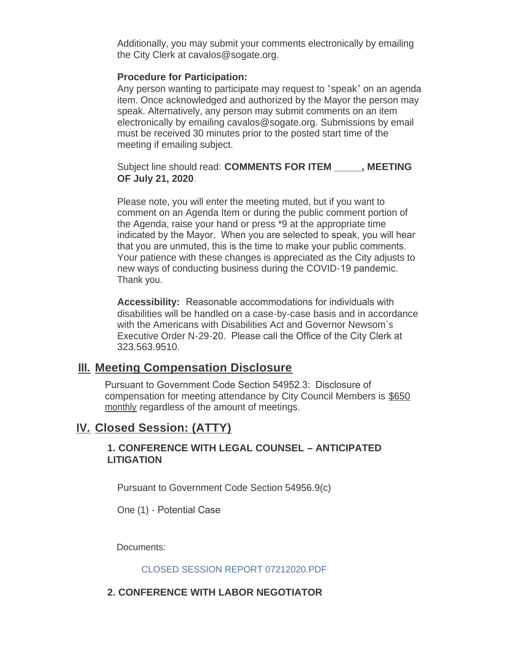Additionally, you may submit your comments electronically by emailing the City Clerk at cavalos@sogate.org.

#### **Procedure for Participation:**

Any person wanting to participate may request to "speak" on an agenda item. Once acknowledged and authorized by the Mayor the person may speak. Alternatively, any person may submit comments on an item electronically by emailing cavalos@sogate.org. Submissions by email must be received 30 minutes prior to the posted start time of the meeting if emailing subject.

Subject line should read: **COMMENTS FOR ITEM \_\_\_\_\_, MEETING OF July 21, 2020**.

Please note, you will enter the meeting muted, but if you want to comment on an Agenda Item or during the public comment portion of the Agenda, raise your hand or press \*9 at the appropriate time indicated by the Mayor. When you are selected to speak, you will hear that you are unmuted, this is the time to make your public comments. Your patience with these changes is appreciated as the City adjusts to new ways of conducting business during the COVID-19 pandemic. Thank you.

**Accessibility:** Reasonable accommodations for individuals with disabilities will be handled on a case-by-case basis and in accordance with the Americans with Disabilities Act and Governor Newsom's Executive Order N-29-20. Please call the Office of the City Clerk at 323.563.9510.

### **Meeting Compensation Disclosure III.**

Pursuant to Government Code Section 54952.3: Disclosure of compensation for meeting attendance by City Council Members is \$650 monthly regardless of the amount of meetings.

### **Closed Session: (ATTY) IV.**

#### **1. CONFERENCE WITH LEGAL COUNSEL – ANTICIPATED LITIGATION**

Pursuant to Government Code Section 54956.9(c)

One (1) - Potential Case

Documents:

#### CLOSED SESSION REPORT 07212020.PDF

#### **2. CONFERENCE WITH LABOR NEGOTIATOR**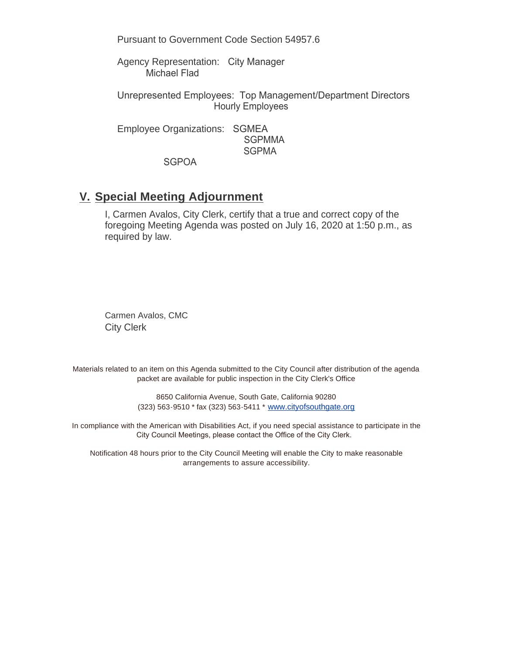Pursuant to Government Code Section 54957.6

Agency Representation: City Manager Michael Flad

Unrepresented Employees: Top Management/Department Directors Hourly Employees

Employee Organizations: SGMEA SGPMMA **SGPMA** 

**SGPOA** 

#### **Special Meeting Adjournment V.**

I, Carmen Avalos, City Clerk, certify that a true and correct copy of the foregoing Meeting Agenda was posted on July 16, 2020 at 1:50 p.m., as required by law.

Carmen Avalos, CMC City Clerk

Materials related to an item on this Agenda submitted to the City Council after distribution of the agenda packet are available for public inspection in the City Clerk's Office

> 8650 California Avenue, South Gate, California 90280 (323) 563-9510 \* fax (323) 563-5411 \* [www.cityofsouthgate.org](http://www.cityofsouthgate.org/)

In compliance with the American with Disabilities Act, if you need special assistance to participate in the City Council Meetings, please contact the Office of the City Clerk.

Notification 48 hours prior to the City Council Meeting will enable the City to make reasonable arrangements to assure accessibility.